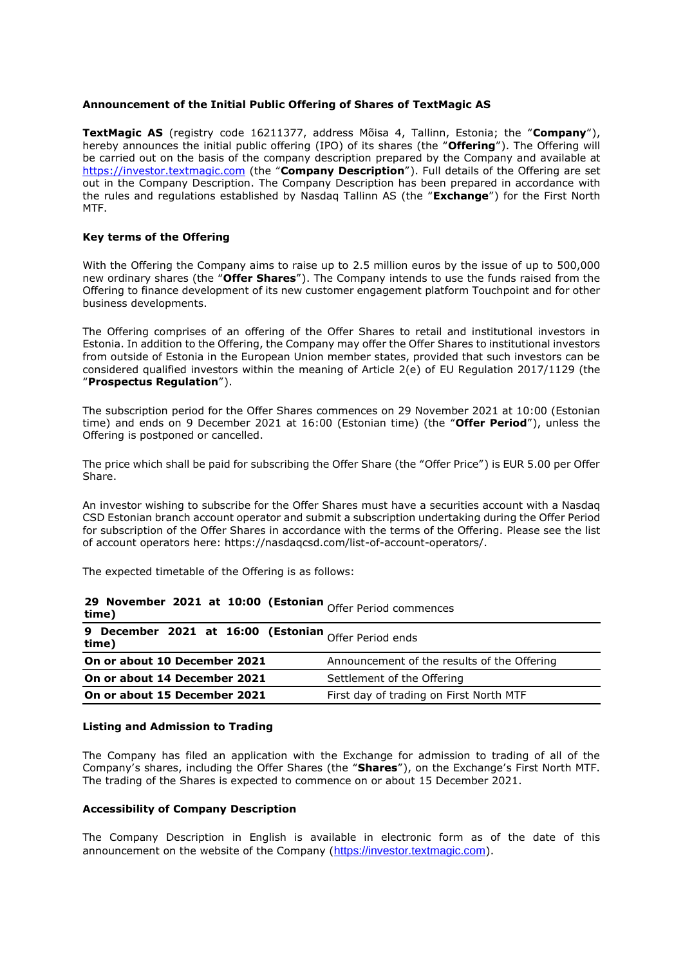## **Announcement of the Initial Public Offering of Shares of TextMagic AS**

**TextMagic AS** (registry code 16211377, address Mõisa 4, Tallinn, Estonia; the "**Company**"), hereby announces the initial public offering (IPO) of its shares (the "**Offering**"). The Offering will be carried out on the basis of the company description prepared by the Company and available at [https://investor.textmagic.com](https://investor.textmagic.com/) (the "**Company Description**"). Full details of the Offering are set out in the Company Description. The Company Description has been prepared in accordance with the rules and regulations established by Nasdaq Tallinn AS (the "**Exchange**") for the First North MTF.

# **Key terms of the Offering**

With the Offering the Company aims to raise up to 2.5 million euros by the issue of up to 500,000 new ordinary shares (the "**Offer Shares**"). The Company intends to use the funds raised from the Offering to finance development of its new customer engagement platform Touchpoint and for other business developments.

The Offering comprises of an offering of the Offer Shares to retail and institutional investors in Estonia. In addition to the Offering, the Company may offer the Offer Shares to institutional investors from outside of Estonia in the European Union member states, provided that such investors can be considered qualified investors within the meaning of Article 2(e) of EU Regulation 2017/1129 (the "**Prospectus Regulation**").

The subscription period for the Offer Shares commences on 29 November 2021 at 10:00 (Estonian time) and ends on 9 December 2021 at 16:00 (Estonian time) (the "**Offer Period**"), unless the Offering is postponed or cancelled.

The price which shall be paid for subscribing the Offer Share (the "Offer Price") is EUR 5.00 per Offer Share.

An investor wishing to subscribe for the Offer Shares must have a securities account with a Nasdaq CSD Estonian branch account operator and submit a subscription undertaking during the Offer Period for subscription of the Offer Shares in accordance with the terms of the Offering. Please see the list of account operators here: https://nasdaqcsd.com/list-of-account-operators/.

The expected timetable of the Offering is as follows:

| <b>29 November 2021 at 10:00 (Estonian Offer Period commences</b><br>time) |                                             |
|----------------------------------------------------------------------------|---------------------------------------------|
| 9 December 2021 at 16:00 (Estonian $O$ ffer Period ends<br>time)           |                                             |
| On or about 10 December 2021                                               | Announcement of the results of the Offering |
| On or about 14 December 2021                                               | Settlement of the Offering                  |
| On or about 15 December 2021                                               | First day of trading on First North MTF     |

#### **Listing and Admission to Trading**

The Company has filed an application with the Exchange for admission to trading of all of the Company's shares, including the Offer Shares (the "**Shares**"), on the Exchange's First North MTF. The trading of the Shares is expected to commence on or about 15 December 2021.

### **Accessibility of Company Description**

The Company Description in English is available in electronic form as of the date of this announcement on the website of the Company ([https://investor.textmagic.com](https://investor.textmagic.com/)).